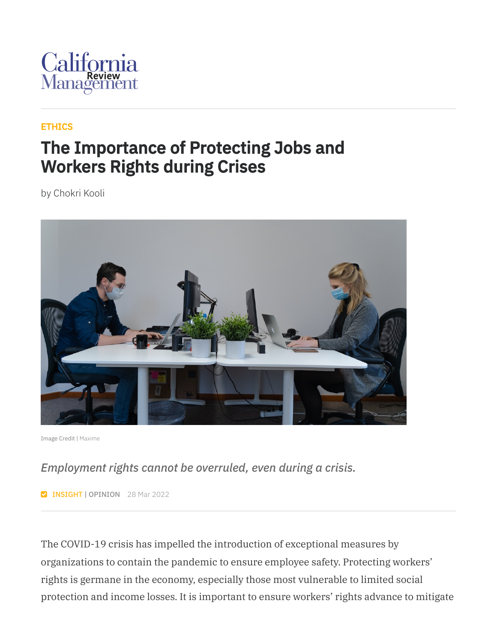

### [ETHICS](https://cmr.berkeley.edu/browse/topics/ethics/)

### The Importance of Protecting Jobs and Workers Rights during Crises

by Chokri Kooli



Image Credit | [Maxime](https://unsplash.com/photos/beY1JU6Scnc)

### *Employment rights cannot be overruled, even during a crisis.*

**INSIGHT | OPINION** 28 Mar 2022

The COVID-19 crisis has impelled the introduction of exceptional measures by organizations to contain the pandemic to ensure employee safety. Protecting workers' rights is germane in the economy, especially those most vulnerable to limited social protection and income losses. It is important to ensure workers' rights advance to mitigate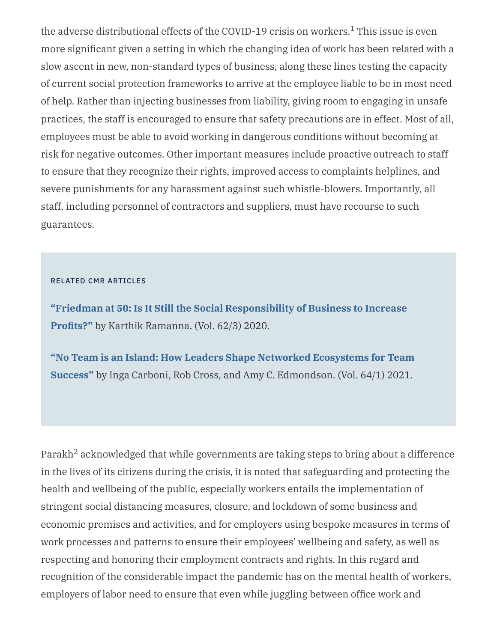the adverse distributional effects of the COVID-19 crisis on workers.<sup>1</sup> This issue is even more significant given a setting in which the changing idea of work has been related with a slow ascent in new, non-standard types of business, along these lines testing the capacity of current social protection frameworks to arrive at the employee liable to be in most need of help. Rather than injecting businesses from liability, giving room to engaging in unsafe practices, the staff is encouraged to ensure that safety precautions are in effect. Most of all, employees must be able to avoid working in dangerous conditions without becoming at risk for negative outcomes. Other important measures include proactive outreach to staff to ensure that they recognize their rights, improved access to complaints helplines, and severe punishments for any harassment against such whistle-blowers. Importantly, all staff, including personnel of contractors and suppliers, must have recourse to such guarantees.

#### RELATED CMR ARTICLES

**"Friedman at 50: Is It Still the Social [Responsibility](https://journals.sagepub.com/doi/full/10.1177/0008125620914994) of Business to Increase Profits?"** by Karthik Ramanna. (Vol. 62/3) 2020.

**"No Team is an Island: How Leaders Shape Networked Ecosystems for Team Success"** by Inga Carboni, Rob Cross, and Amy C. [Edmondson.](https://journals.sagepub.com/doi/abs/10.1177/00081256211041784) (Vol. 64/1) 2021.

Parakh $^2$  acknowledged that while governments are taking steps to bring about a difference in the lives of its citizens during the crisis, it is noted that safeguarding and protecting the health and wellbeing of the public, especially workers entails the implementation of stringent social distancing measures, closure, and lockdown of some business and economic premises and activities, and for employers using bespoke measures in terms of work processes and patterns to ensure their employees' wellbeing and safety, as well as respecting and honoring their employment contracts and rights. In this regard and recognition of the considerable impact the pandemic has on the mental health of workers, employers of labor need to ensure that even while juggling between office work and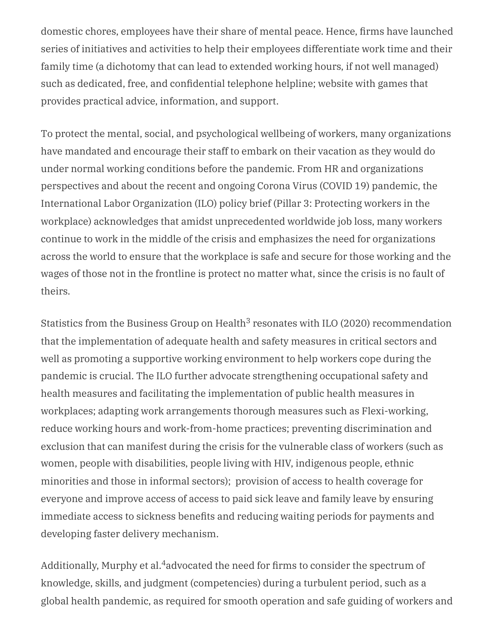domestic chores, employees have their share of mental peace. Hence, firms have launched series of initiatives and activities to help their employees differentiate work time and their family time (a dichotomy that can lead to extended working hours, if not well managed) such as dedicated, free, and confidential telephone helpline; website with games that provides practical advice, information, and support.

To protect the mental, social, and psychological wellbeing of workers, many organizations have mandated and encourage their staff to embark on their vacation as they would do under normal working conditions before the pandemic. From HR and organizations perspectives and about the recent and ongoing Corona Virus (COVID 19) pandemic, the International Labor Organization (ILO) policy brief (Pillar 3: Protecting workers in the workplace) acknowledges that amidst unprecedented worldwide job loss, many workers continue to work in the middle of the crisis and emphasizes the need for organizations across the world to ensure that the workplace is safe and secure for those working and the wages of those not in the frontline is protect no matter what, since the crisis is no fault of theirs.

Statistics from the Business Group on Health $3$  resonates with ILO (2020) recommendation that the implementation of adequate health and safety measures in critical sectors and well as promoting a supportive working environment to help workers cope during the pandemic is crucial. The ILO further advocate strengthening occupational safety and health measures and facilitating the implementation of public health measures in workplaces; adapting work arrangements thorough measures such as Flexi-working, reduce working hours and work-from-home practices; preventing discrimination and exclusion that can manifest during the crisis for the vulnerable class of workers (such as women, people with disabilities, people living with HIV, indigenous people, ethnic minorities and those in informal sectors); provision of access to health coverage for everyone and improve access of access to paid sick leave and family leave by ensuring immediate access to sickness benefits and reducing waiting periods for payments and developing faster delivery mechanism.

Additionally, Murphy et al. $^4$ advocated the need for firms to consider the spectrum of knowledge, skills, and judgment (competencies) during a turbulent period, such as a global health pandemic, as required for smooth operation and safe guiding of workers and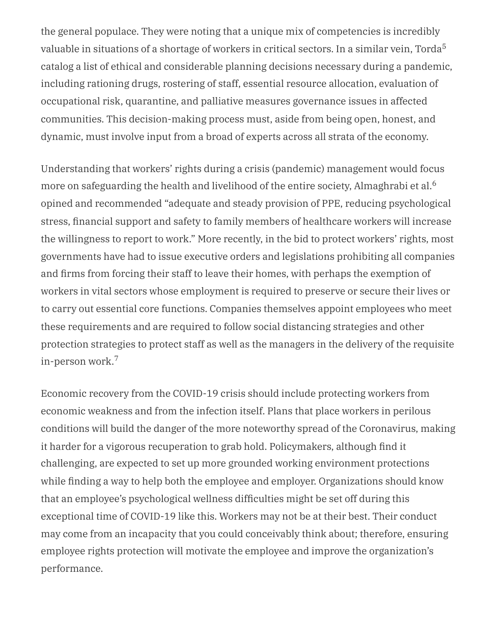the general populace. They were noting that a unique mix of competencies is incredibly valuable in situations of a shortage of workers in critical sectors. In a similar vein, Torda $^5$ catalog a list of ethical and considerable planning decisions necessary during a pandemic, including rationing drugs, rostering of staff, essential resource allocation, evaluation of occupational risk, quarantine, and palliative measures governance issues in affected communities. This decision-making process must, aside from being open, honest, and dynamic, must involve input from a broad of experts across all strata of the economy.

Understanding that workers' rights during a crisis (pandemic) management would focus more on safeguarding the health and livelihood of the entire society, Almaghrabi et al. 6 opined and recommended "adequate and steady provision of PPE, reducing psychological stress, financial support and safety to family members of healthcare workers will increase the willingness to report to work." More recently, in the bid to protect workers' rights, most governments have had to issue executive orders and legislations prohibiting all companies and firms from forcing their staff to leave their homes, with perhaps the exemption of workers in vital sectors whose employment is required to preserve or secure their lives or to carry out essential core functions. Companies themselves appoint employees who meet these requirements and are required to follow social distancing strategies and other protection strategies to protect staff as well as the managers in the delivery of the requisite in-person work. 7

Economic recovery from the COVID-19 crisis should include protecting workers from economic weakness and from the infection itself. Plans that place workers in perilous conditions will build the danger of the more noteworthy spread of the Coronavirus, making it harder for a vigorous recuperation to grab hold. Policymakers, although find it challenging, are expected to set up more grounded working environment protections while finding a way to help both the employee and employer. Organizations should know that an employee's psychological wellness difficulties might be set off during this exceptional time of COVID-19 like this. Workers may not be at their best. Their conduct may come from an incapacity that you could conceivably think about; therefore, ensuring employee rights protection will motivate the employee and improve the organization's performance.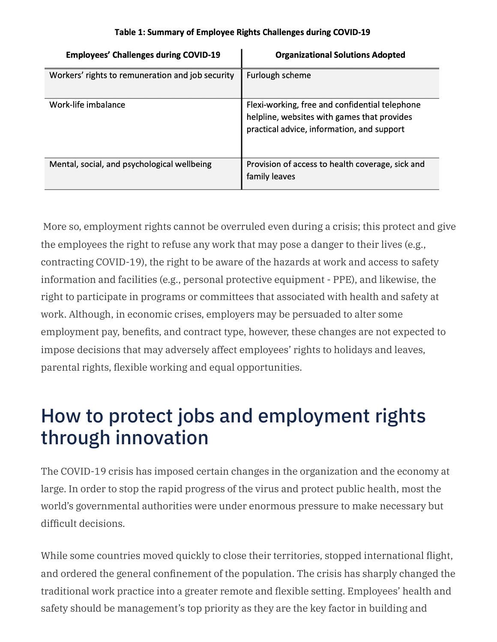| <b>Employees' Challenges during COVID-19</b>     | <b>Organizational Solutions Adopted</b>                                                                                                     |
|--------------------------------------------------|---------------------------------------------------------------------------------------------------------------------------------------------|
| Workers' rights to remuneration and job security | Furlough scheme                                                                                                                             |
| Work-life imbalance                              | Flexi-working, free and confidential telephone<br>helpline, websites with games that provides<br>practical advice, information, and support |
| Mental, social, and psychological wellbeing      | Provision of access to health coverage, sick and<br>family leaves                                                                           |

#### Table 1: Summary of Employee Rights Challenges during COVID-19

More so, employment rights cannot be overruled even during a crisis; this protect and give the employees the right to refuse any work that may pose a danger to their lives (e.g., contracting COVID-19), the right to be aware of the hazards at work and access to safety information and facilities (e.g., personal protective equipment - PPE), and likewise, the right to participate in programs or committees that associated with health and safety at work. Although, in economic crises, employers may be persuaded to alter some employment pay, benefits, and contract type, however, these changes are not expected to impose decisions that may adversely affect employees' rights to holidays and leaves, parental rights, flexible working and equal opportunities.

# How to protect jobs and employment rights through innovation

The COVID-19 crisis has imposed certain changes in the organization and the economy at large. In order to stop the rapid progress of the virus and protect public health, most the world's governmental authorities were under enormous pressure to make necessary but difficult decisions.

While some countries moved quickly to close their territories, stopped international flight, and ordered the general confinement of the population. The crisis has sharply changed the traditional work practice into a greater remote and flexible setting. Employees' health and safety should be management's top priority as they are the key factor in building and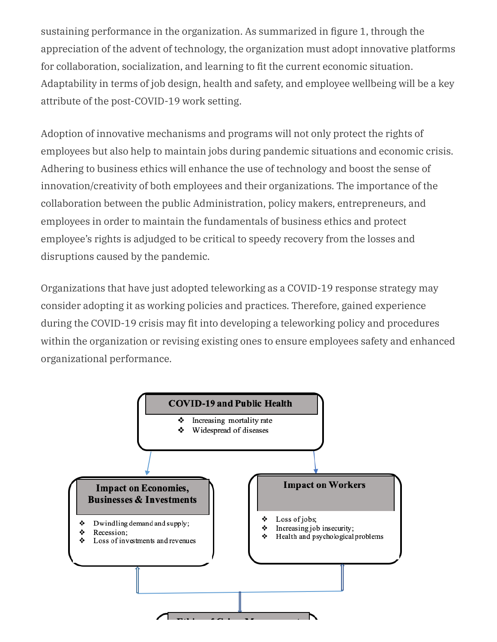sustaining performance in the organization. As summarized in figure 1, through the appreciation of the advent of technology, the organization must adopt innovative platforms for collaboration, socialization, and learning to fit the current economic situation. Adaptability in terms of job design, health and safety, and employee wellbeing will be a key attribute of the post-COVID-19 work setting.

Adoption of innovative mechanisms and programs will not only protect the rights of employees but also help to maintain jobs during pandemic situations and economic crisis. Adhering to business ethics will enhance the use of technology and boost the sense of innovation/creativity of both employees and their organizations. The importance of the collaboration between the public Administration, policy makers, entrepreneurs, and employees in order to maintain the fundamentals of business ethics and protect employee's rights is adjudged to be critical to speedy recovery from the losses and disruptions caused by the pandemic.

Organizations that have just adopted teleworking as a COVID-19 response strategy may consider adopting it as working policies and practices. Therefore, gained experience during the COVID-19 crisis may fit into developing a teleworking policy and procedures within the organization or revising existing ones to ensure employees safety and enhanced organizational performance.

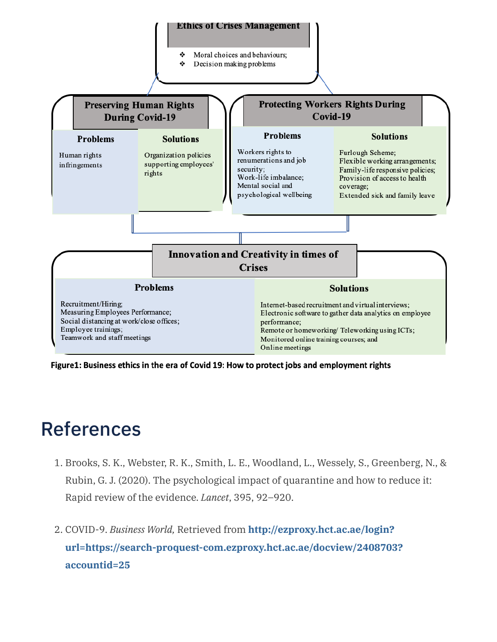#### **Ethics of Crises Management**

٠ Moral choices and behaviours; ٠ Decision making problems



Figure1: Business ethics in the era of Covid 19: How to protect jobs and employment rights

## References

- 1. Brooks, S. K., Webster, R. K., Smith, L. E., Woodland, L., Wessely, S., Greenberg, N., & Rubin, G. J. (2020). The psychological impact of quarantine and how to reduce it: Rapid review of the evidence. *Lancet*, 395, 92–920.
- 2. COVID-9. *Business World,* Retrieved from **http://ezproxy.hct.ac.ae/login? [url=https://search-proquest-com.ezproxy.hct.ac.ae/docview/2408703?](about:blank) accountid=25**